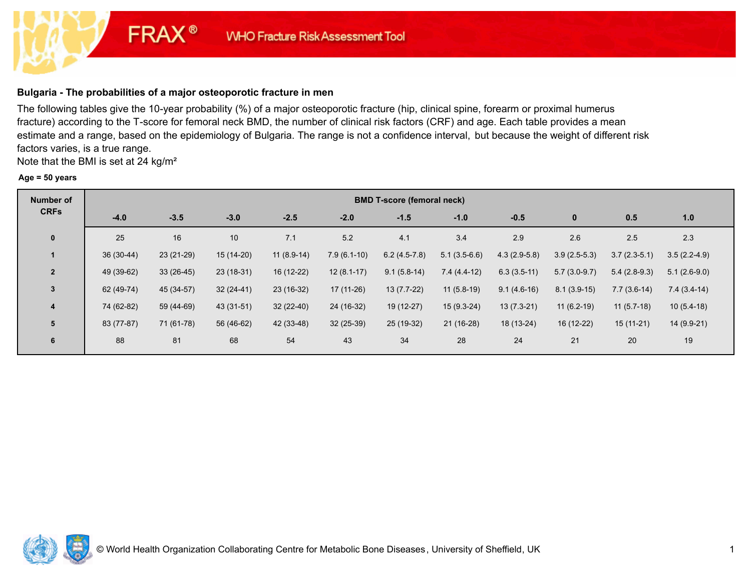# **Bulgaria - The probabilities of a major osteoporotic fracture in men**

**FRAX®** 

The following tables give the 10-year probability (%) of a major osteoporotic fracture (hip, clinical spine, forearm or proximal humerus fracture) according to the T-score for femoral neck BMD, the number of clinical risk factors (CRF) and age. Each table provides a mean estimate and a range, based on the epidemiology of Bulgaria. The range is not a confidence interval, but because the weight of different risk factors varies, is a true range.

Note that the BMI is set at 24 kg/m²

#### **Age = 50 years**

| <b>Number of</b> |             | <b>BMD T-score (femoral neck)</b> |             |              |               |                |                |                |                |                |                |  |  |  |
|------------------|-------------|-----------------------------------|-------------|--------------|---------------|----------------|----------------|----------------|----------------|----------------|----------------|--|--|--|
| <b>CRFs</b>      | $-4.0$      | $-3.5$                            | $-3.0$      | $-2.5$       | $-2.0$        | $-1.5$         | $-1.0$         | $-0.5$         | $\mathbf{0}$   | 0.5            | 1.0            |  |  |  |
| $\mathbf{0}$     | 25          | 16                                | 10          | 7.1          | 5.2           | 4.1            | 3.4            | 2.9            | 2.6            | 2.5            | 2.3            |  |  |  |
| $\mathbf{1}$     | $36(30-44)$ | 23 (21-29)                        | 15 (14-20)  | $11(8.9-14)$ | $7.9(6.1-10)$ | $6.2(4.5-7.8)$ | $5.1(3.5-6.6)$ | $4.3(2.9-5.8)$ | $3.9(2.5-5.3)$ | $3.7(2.3-5.1)$ | $3.5(2.2-4.9)$ |  |  |  |
| $\overline{2}$   | 49 (39-62)  | $33(26-45)$                       | $23(18-31)$ | 16 (12-22)   | $12(8.1-17)$  | $9.1(5.8-14)$  | $7.4(4.4-12)$  | $6.3(3.5-11)$  | $5.7(3.0-9.7)$ | $5.4(2.8-9.3)$ | $5.1(2.6-9.0)$ |  |  |  |
| 3                | 62 (49-74)  | 45 (34-57)                        | $32(24-41)$ | 23 (16-32)   | 17 (11-26)    | $13(7.7-22)$   | $11(5.8-19)$   | $9.1(4.6-16)$  | $8.1(3.9-15)$  | $7.7(3.6-14)$  | $7.4(3.4-14)$  |  |  |  |
| 4                | 74 (62-82)  | 59 (44-69)                        | 43 (31-51)  | 32 (22-40)   | 24 (16-32)    | 19 (12-27)     | 15 (9.3-24)    | $13(7.3-21)$   | $11(6.2-19)$   | $11(5.7-18)$   | $10(5.4-18)$   |  |  |  |
| 5                | 83 (77-87)  | 71 (61-78)                        | 56 (46-62)  | 42 (33-48)   | $32(25-39)$   | 25 (19-32)     | $21(16-28)$    | 18 (13-24)     | 16 (12-22)     | $15(11-21)$    | 14 (9.9-21)    |  |  |  |
| 6                | 88          | 81                                | 68          | 54           | 43            | 34             | 28             | 24             | 21             | 20             | 19             |  |  |  |

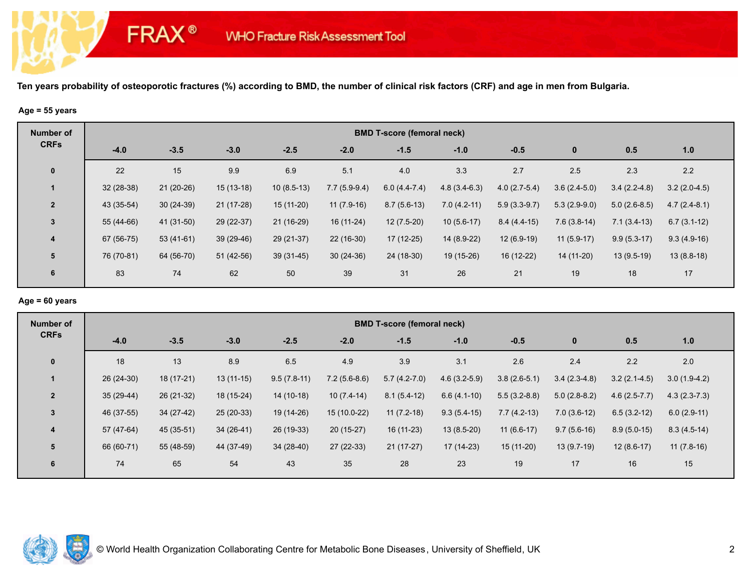#### **Age = 55 years**

**FRAX®** 

| <b>Number of</b> |             | <b>BMD T-score (femoral neck)</b> |             |              |                |                |                |                |                |                |                |  |  |  |
|------------------|-------------|-----------------------------------|-------------|--------------|----------------|----------------|----------------|----------------|----------------|----------------|----------------|--|--|--|
| <b>CRFs</b>      | $-4.0$      | $-3.5$                            | $-3.0$      | $-2.5$       | $-2.0$         | $-1.5$         | $-1.0$         | $-0.5$         | $\bf{0}$       | 0.5            | 1.0            |  |  |  |
| $\mathbf 0$      | 22          | 15                                | 9.9         | 6.9          | 5.1            | 4.0            | 3.3            | 2.7            | 2.5            | 2.3            | 2.2            |  |  |  |
|                  | $32(28-38)$ | $21(20-26)$                       | $15(13-18)$ | $10(8.5-13)$ | $7.7(5.9-9.4)$ | $6.0(4.4-7.4)$ | $4.8(3.4-6.3)$ | $4.0(2.7-5.4)$ | $3.6(2.4-5.0)$ | $3.4(2.2-4.8)$ | $3.2(2.0-4.5)$ |  |  |  |
| $\overline{2}$   | 43 (35-54)  | $30(24-39)$                       | $21(17-28)$ | $15(11-20)$  | $11(7.9-16)$   | $8.7(5.6-13)$  | $7.0(4.2-11)$  | $5.9(3.3-9.7)$ | $5.3(2.9-9.0)$ | $5.0(2.6-8.5)$ | $4.7(2.4-8.1)$ |  |  |  |
| $\mathbf{3}$     | 55 (44-66)  | 41 (31-50)                        | 29 (22-37)  | 21 (16-29)   | 16 (11-24)     | $12(7.5-20)$   | $10(5.6-17)$   | $8.4(4.4-15)$  | $7.6(3.8-14)$  | $7.1(3.4-13)$  | $6.7(3.1-12)$  |  |  |  |
| $\overline{4}$   | 67 (56-75)  | $53(41-61)$                       | 39 (29-46)  | 29 (21-37)   | $22(16-30)$    | 17 (12-25)     | 14 (8.9-22)    | $12(6.9-19)$   | $11(5.9-17)$   | $9.9(5.3-17)$  | $9.3(4.9-16)$  |  |  |  |
| 5                | 76 (70-81)  | 64 (56-70)                        | 51 (42-56)  | 39 (31-45)   | $30(24-36)$    | 24 (18-30)     | 19 (15-26)     | 16 (12-22)     | 14 (11-20)     | $13(9.5-19)$   | $13(8.8-18)$   |  |  |  |
| 6                | 83          | 74                                | 62          | 50           | 39             | 31             | 26             | 21             | 19             | 18             | 17             |  |  |  |

## **Age = 60 years**

| Number of      |             | <b>BMD T-score (femoral neck)</b> |             |               |                |                |                |                |                |                |                |  |  |  |
|----------------|-------------|-----------------------------------|-------------|---------------|----------------|----------------|----------------|----------------|----------------|----------------|----------------|--|--|--|
| <b>CRFs</b>    | $-4.0$      | $-3.5$                            | $-3.0$      | $-2.5$        | $-2.0$         | $-1.5$         | $-1.0$         | $-0.5$         | $\bf{0}$       | 0.5            | 1.0            |  |  |  |
| $\mathbf 0$    | 18          | 13                                | 8.9         | 6.5           | 4.9            | 3.9            | 3.1            | 2.6            | 2.4            | 2.2            | 2.0            |  |  |  |
| -1             | $26(24-30)$ | 18 (17-21)                        | $13(11-15)$ | $9.5(7.8-11)$ | $7.2(5.6-8.6)$ | $5.7(4.2-7.0)$ | $4.6(3.2-5.9)$ | $3.8(2.6-5.1)$ | $3.4(2.3-4.8)$ | $3.2(2.1-4.5)$ | $3.0(1.9-4.2)$ |  |  |  |
| $\overline{2}$ | $35(29-44)$ | 26 (21-32)                        | 18 (15-24)  | $14(10-18)$   | $10(7.4-14)$   | $8.1(5.4-12)$  | $6.6(4.1-10)$  | $5.5(3.2-8.8)$ | $5.0(2.8-8.2)$ | $4.6(2.5-7.7)$ | $4.3(2.3-7.3)$ |  |  |  |
| $\mathbf{3}$   | 46 (37-55)  | 34 (27-42)                        | $25(20-33)$ | 19 (14-26)    | 15 (10.0-22)   | $11(7.2-18)$   | $9.3(5.4-15)$  | $7.7(4.2-13)$  | $7.0(3.6-12)$  | $6.5(3.2-12)$  | $6.0(2.9-11)$  |  |  |  |
| 4              | 57 (47-64)  | 45 (35-51)                        | 34 (26-41)  | 26 (19-33)    | $20(15-27)$    | $16(11-23)$    | $13(8.5-20)$   | $11(6.6-17)$   | $9.7(5.6-16)$  | $8.9(5.0-15)$  | $8.3(4.5-14)$  |  |  |  |
| 5              | 66 (60-71)  | 55 (48-59)                        | 44 (37-49)  | $34(28-40)$   | 27 (22-33)     | $21(17-27)$    | 17 (14-23)     | $15(11-20)$    | $13(9.7-19)$   | $12(8.6-17)$   | $11(7.8-16)$   |  |  |  |
| 6              | 74          | 65                                | 54          | 43            | 35             | 28             | 23             | 19             | 17             | 16             | 15             |  |  |  |

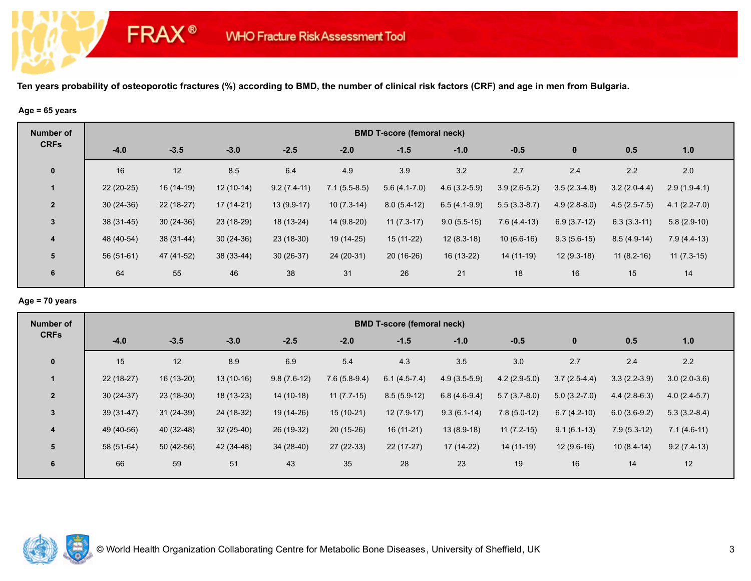#### **Age = 65 years**

**FRAX®** 

| <b>Number of</b> |             | <b>BMD T-score (femoral neck)</b> |             |               |                |                |                |                |                |                |                  |  |  |  |
|------------------|-------------|-----------------------------------|-------------|---------------|----------------|----------------|----------------|----------------|----------------|----------------|------------------|--|--|--|
| <b>CRFs</b>      | $-4.0$      | $-3.5$                            | $-3.0$      | $-2.5$        | $-2.0$         | $-1.5$         | $-1.0$         | $-0.5$         | $\mathbf{0}$   | 0.5            | 1.0              |  |  |  |
| $\mathbf 0$      | 16          | 12                                | 8.5         | 6.4           | 4.9            | 3.9            | 3.2            | 2.7            | 2.4            | 2.2            | 2.0              |  |  |  |
| $\overline{1}$   | $22(20-25)$ | $16(14-19)$                       | $12(10-14)$ | $9.2(7.4-11)$ | $7.1(5.5-8.5)$ | $5.6(4.1-7.0)$ | $4.6(3.2-5.9)$ | $3.9(2.6-5.2)$ | $3.5(2.3-4.8)$ | $3.2(2.0-4.4)$ | $2.9(1.9-4.1)$   |  |  |  |
| $\overline{2}$   | $30(24-36)$ | $22(18-27)$                       | 17 (14-21)  | $13(9.9-17)$  | $10(7.3-14)$   | $8.0(5.4-12)$  | $6.5(4.1-9.9)$ | $5.5(3.3-8.7)$ | $4.9(2.8-8.0)$ | $4.5(2.5-7.5)$ | $4.1(2.2 - 7.0)$ |  |  |  |
| $\mathbf{3}$     | $38(31-45)$ | $30(24-36)$                       | 23 (18-29)  | 18 (13-24)    | 14 (9.8-20)    | $11(7.3-17)$   | $9.0(5.5-15)$  | $7.6(4.4-13)$  | $6.9(3.7-12)$  | $6.3(3.3-11)$  | $5.8(2.9-10)$    |  |  |  |
| $\overline{4}$   | 48 (40-54)  | 38 (31-44)                        | $30(24-36)$ | $23(18-30)$   | 19 (14-25)     | 15 (11-22)     | $12(8.3-18)$   | $10(6.6-16)$   | $9.3(5.6-15)$  | $8.5(4.9-14)$  | $7.9(4.4-13)$    |  |  |  |
| $5\phantom{1}$   | $56(51-61)$ | 47 (41-52)                        | 38 (33-44)  | $30(26-37)$   | 24 (20-31)     | $20(16-26)$    | 16 (13-22)     | $14(11-19)$    | $12(9.3-18)$   | $11(8.2-16)$   | $11(7.3-15)$     |  |  |  |
| 6                | 64          | 55                                | 46          | 38            | 31             | 26             | 21             | 18             | 16             | 15             | 14               |  |  |  |

## **Age = 70 years**

| Number of      |             | <b>BMD T-score (femoral neck)</b> |             |               |                |                |                |                |                |                |                |  |  |  |
|----------------|-------------|-----------------------------------|-------------|---------------|----------------|----------------|----------------|----------------|----------------|----------------|----------------|--|--|--|
| <b>CRFs</b>    | $-4.0$      | $-3.5$                            | $-3.0$      | $-2.5$        | $-2.0$         | $-1.5$         | $-1.0$         | $-0.5$         | $\bf{0}$       | 0.5            | 1.0            |  |  |  |
| $\mathbf 0$    | 15          | 12                                | 8.9         | 6.9           | 5.4            | 4.3            | 3.5            | 3.0            | 2.7            | 2.4            | 2.2            |  |  |  |
| $\mathbf 1$    | 22 (18-27)  | 16 (13-20)                        | $13(10-16)$ | $9.8(7.6-12)$ | $7.6(5.8-9.4)$ | $6.1(4.5-7.4)$ | $4.9(3.5-5.9)$ | $4.2(2.9-5.0)$ | $3.7(2.5-4.4)$ | $3.3(2.2-3.9)$ | $3.0(2.0-3.6)$ |  |  |  |
| $\overline{2}$ | $30(24-37)$ | $23(18-30)$                       | $18(13-23)$ | $14(10-18)$   | $11(7.7-15)$   | $8.5(5.9-12)$  | $6.8(4.6-9.4)$ | $5.7(3.7-8.0)$ | $5.0(3.2-7.0)$ | $4.4(2.8-6.3)$ | $4.0(2.4-5.7)$ |  |  |  |
| $\mathbf{3}$   | $39(31-47)$ | $31(24-39)$                       | 24 (18-32)  | 19 (14-26)    | $15(10-21)$    | $12(7.9-17)$   | $9.3(6.1-14)$  | $7.8(5.0-12)$  | $6.7(4.2-10)$  | $6.0(3.6-9.2)$ | $5.3(3.2-8.4)$ |  |  |  |
| 4              | 49 (40-56)  | 40 (32-48)                        | $32(25-40)$ | 26 (19-32)    | $20(15-26)$    | $16(11-21)$    | $13(8.9-18)$   | $11(7.2-15)$   | $9.1(6.1-13)$  | $7.9(5.3-12)$  | $7.1(4.6-11)$  |  |  |  |
| 5              | 58 (51-64)  | $50(42-56)$                       | 42 (34-48)  | $34(28-40)$   | 27 (22-33)     | $22(17-27)$    | 17 (14-22)     | 14 (11-19)     | $12(9.6-16)$   | $10(8.4-14)$   | $9.2(7.4-13)$  |  |  |  |
| 6              | 66          | 59                                | 51          | 43            | 35             | 28             | 23             | 19             | 16             | 14             | 12             |  |  |  |

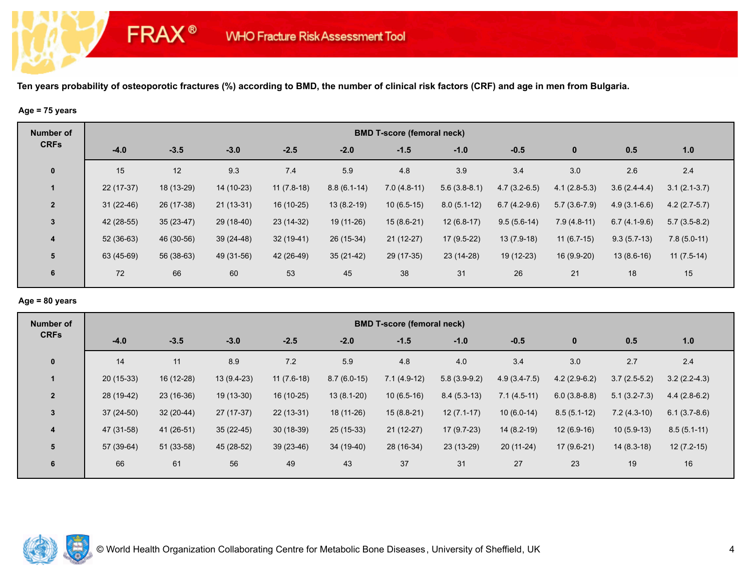# **Age = 75 years**

**FRAX®** 

| <b>Number of</b> |             | <b>BMD T-score (femoral neck)</b> |             |              |               |               |                |                |                |                |                |  |  |  |
|------------------|-------------|-----------------------------------|-------------|--------------|---------------|---------------|----------------|----------------|----------------|----------------|----------------|--|--|--|
| <b>CRFs</b>      | $-4.0$      | $-3.5$                            | $-3.0$      | $-2.5$       | $-2.0$        | $-1.5$        | $-1.0$         | $-0.5$         | $\bf{0}$       | 0.5            | 1.0            |  |  |  |
| $\mathbf 0$      | 15          | 12                                | 9.3         | 7.4          | 5.9           | 4.8           | 3.9            | 3.4            | 3.0            | 2.6            | 2.4            |  |  |  |
|                  | 22 (17-37)  | 18 (13-29)                        | 14 (10-23)  | $11(7.8-18)$ | $8.8(6.1-14)$ | $7.0(4.8-11)$ | $5.6(3.8-8.1)$ | $4.7(3.2-6.5)$ | $4.1(2.8-5.3)$ | $3.6(2.4-4.4)$ | $3.1(2.1-3.7)$ |  |  |  |
| $\overline{2}$   | $31(22-46)$ | 26 (17-38)                        | $21(13-31)$ | 16 (10-25)   | $13(8.2-19)$  | $10(6.5-15)$  | $8.0(5.1-12)$  | $6.7(4.2-9.6)$ | $5.7(3.6-7.9)$ | $4.9(3.1-6.6)$ | $4.2(2.7-5.7)$ |  |  |  |
| $\mathbf{3}$     | 42 (28-55)  | $35(23-47)$                       | 29 (18-40)  | 23 (14-32)   | 19 (11-26)    | $15(8.6-21)$  | $12(6.8-17)$   | $9.5(5.6-14)$  | $7.9(4.8-11)$  | $6.7(4.1-9.6)$ | $5.7(3.5-8.2)$ |  |  |  |
| $\overline{4}$   | $52(36-63)$ | 46 (30-56)                        | 39 (24-48)  | $32(19-41)$  | 26 (15-34)    | $21(12-27)$   | $17(9.5-22)$   | $13(7.9-18)$   | $11(6.7-15)$   | $9.3(5.7-13)$  | $7.8(5.0-11)$  |  |  |  |
| 5                | 63 (45-69)  | 56 (38-63)                        | 49 (31-56)  | 42 (26-49)   | $35(21-42)$   | 29 (17-35)    | 23 (14-28)     | 19 (12-23)     | 16 (9.9-20)    | $13(8.6-16)$   | $11(7.5-14)$   |  |  |  |
| 6                | 72          | 66                                | 60          | 53           | 45            | 38            | 31             | 26             | 21             | 18             | 15             |  |  |  |

## **Age = 80 years**

| Number of               |             | <b>BMD T-score (femoral neck)</b> |              |              |               |               |                |                |                |                  |                |  |  |  |
|-------------------------|-------------|-----------------------------------|--------------|--------------|---------------|---------------|----------------|----------------|----------------|------------------|----------------|--|--|--|
| <b>CRFs</b>             | $-4.0$      | $-3.5$                            | $-3.0$       | $-2.5$       | $-2.0$        | $-1.5$        | $-1.0$         | $-0.5$         | $\bf{0}$       | 0.5              | 1.0            |  |  |  |
| $\mathbf 0$             | 14          | 11                                | 8.9          | 7.2          | 5.9           | 4.8           | 4.0            | 3.4            | 3.0            | 2.7              | 2.4            |  |  |  |
| $\mathbf 1$             | $20(15-33)$ | 16 (12-28)                        | $13(9.4-23)$ | $11(7.6-18)$ | $8.7(6.0-15)$ | $7.1(4.9-12)$ | $5.8(3.9-9.2)$ | $4.9(3.4-7.5)$ | $4.2(2.9-6.2)$ | $3.7(2.5-5.2)$   | $3.2(2.2-4.3)$ |  |  |  |
| $\overline{2}$          | 28 (19-42)  | $23(16-36)$                       | 19 (13-30)   | $16(10-25)$  | $13(8.1-20)$  | $10(6.5-16)$  | $8.4(5.3-13)$  | $7.1(4.5-11)$  | $6.0(3.8-8.8)$ | $5.1(3.2 - 7.3)$ | $4.4(2.8-6.2)$ |  |  |  |
| $\mathbf{3}$            | $37(24-50)$ | $32(20-44)$                       | $27(17-37)$  | $22(13-31)$  | 18 (11-26)    | $15(8.8-21)$  | $12(7.1-17)$   | $10(6.0-14)$   | $8.5(5.1-12)$  | $7.2(4.3-10)$    | $6.1(3.7-8.6)$ |  |  |  |
| $\overline{\mathbf{4}}$ | 47 (31-58)  | 41 (26-51)                        | $35(22-45)$  | $30(18-39)$  | $25(15-33)$   | $21(12-27)$   | $17(9.7-23)$   | $14(8.2-19)$   | $12(6.9-16)$   | $10(5.9-13)$     | $8.5(5.1-11)$  |  |  |  |
| 5                       | 57 (39-64)  | 51 (33-58)                        | 45 (28-52)   | $39(23-46)$  | 34 (19-40)    | 28 (16-34)    | 23 (13-29)     | $20(11-24)$    | $17(9.6-21)$   | $14(8.3-18)$     | $12(7.2-15)$   |  |  |  |
| 6                       | 66          | 61                                | 56           | 49           | 43            | 37            | 31             | 27             | 23             | 19               | 16             |  |  |  |